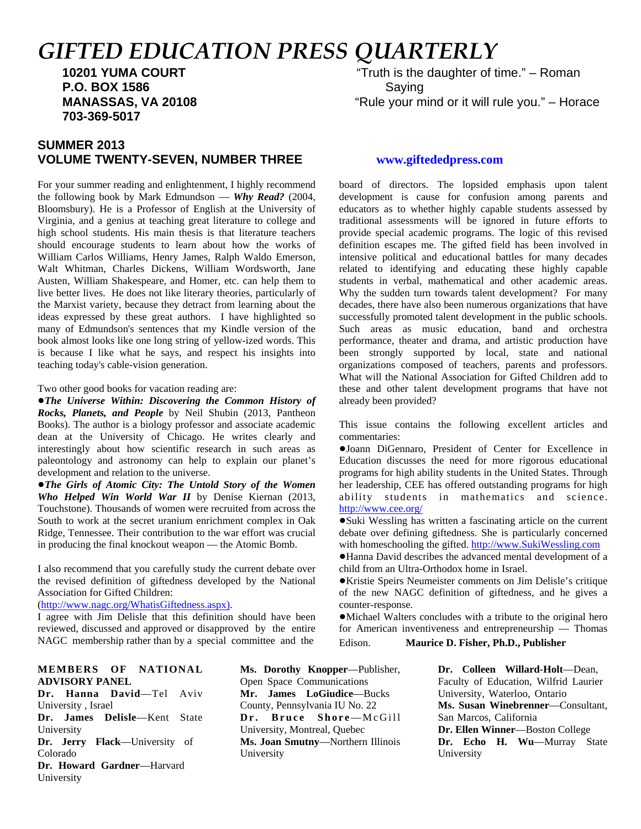# *GIFTED EDUCATION PRESS QUARTERLY*

 **P.O. BOX 1586** Saving  **703-369-5017**

### **SUMMER 2013 VOLUME TWENTY-SEVEN, NUMBER THREE [www.giftededpress.com](http://www.giftededpress.com)**

For your summer reading and enlightenment, I highly recommend the following book by Mark Edmundson — *Why Read?* (2004, Bloomsbury). He is a Professor of English at the University of Virginia, and a genius at teaching great literature to college and high school students. His main thesis is that literature teachers should encourage students to learn about how the works of William Carlos Williams, Henry James, Ralph Waldo Emerson, Walt Whitman, Charles Dickens, William Wordsworth, Jane Austen, William Shakespeare, and Homer, etc. can help them to live better lives. He does not like literary theories, particularly of the Marxist variety, because they detract from learning about the ideas expressed by these great authors. I have highlighted so many of Edmundson's sentences that my Kindle version of the book almost looks like one long string of yellow-ized words. This is because I like what he says, and respect his insights into teaching today's cable-vision generation.

Two other good books for vacation reading are:

!*The Universe Within: Discovering the Common History of Rocks, Planets, and People* by Neil Shubin (2013, Pantheon Books). The author is a biology professor and associate academic dean at the University of Chicago. He writes clearly and interestingly about how scientific research in such areas as paleontology and astronomy can help to explain our planet's development and relation to the universe.

!*The Girls of Atomic City: The Untold Story of the Women Who Helped Win World War II* by Denise Kiernan (2013, Touchstone). Thousands of women were recruited from across the South to work at the secret uranium enrichment complex in Oak Ridge, Tennessee. Their contribution to the war effort was crucial in producing the final knockout weapon — the Atomic Bomb.

I also recommend that you carefully study the current debate over the revised definition of giftedness developed by the National Association for Gifted Children:

#### [\(http://www.nagc.org/WhatisGiftedness.aspx\).](http://www.nagc.org/WhatisGiftedness.aspx)

I agree with Jim Delisle that this definition should have been reviewed, discussed and approved or disapproved by the entire NAGC membership rather than by a special committee and the

#### **MEMBERS OF NATIONAL ADVISORY PANEL**

**Dr. Hanna David**—Tel Aviv University , Israel **Dr. James Delisle**—Kent State University **Dr. Jerry Flack**—University of Colorado **Dr. Howard Gardner**—Harvard University

**Ms. Dorothy Knopper**—Publisher, Open Space Communications **Mr. James LoGiudice**—Bucks County, Pennsylvania IU No. 22 **Dr. Bruce Shore**—McGill University, Montreal, Quebec **Ms. Joan Smutny**—Northern Illinois University

 **10201 YUMA COURT** "Truth is the daughter of time." – Roman **MANASSAS, VA 20108** "Rule your mind or it will rule you." – Horace

board of directors. The lopsided emphasis upon talent development is cause for confusion among parents and educators as to whether highly capable students assessed by traditional assessments will be ignored in future efforts to provide special academic programs. The logic of this revised definition escapes me. The gifted field has been involved in intensive political and educational battles for many decades related to identifying and educating these highly capable students in verbal, mathematical and other academic areas. Why the sudden turn towards talent development? For many decades, there have also been numerous organizations that have successfully promoted talent development in the public schools. Such areas as music education, band and orchestra performance, theater and drama, and artistic production have been strongly supported by local, state and national organizations composed of teachers, parents and professors. What will the National Association for Gifted Children add to these and other talent development programs that have not already been provided?

This issue contains the following excellent articles and commentaries:

!Joann DiGennaro, President of Center for Excellence in Education discusses the need for more rigorous educational programs for high ability students in the United States. Through her leadership, CEE has offered outstanding programs for high ability students in mathematics and science. <http://www.cee.org/>

!Suki Wessling has written a fascinating article on the current debate over defining giftedness. She is particularly concerned with homeschooling the gifted.<http://www.SukiWessling.com>

!Hanna David describes the advanced mental development of a child from an Ultra-Orthodox home in Israel.

!Kristie Speirs Neumeister comments on Jim Delisle's critique of the new NAGC definition of giftedness, and he gives a counter-response.

!Michael Walters concludes with a tribute to the original hero for American inventiveness and entrepreneurship — Thomas Edison. **Maurice D. Fisher, Ph.D., Publisher**

> **Dr. Colleen Willard-Holt**—Dean, Faculty of Education, Wilfrid Laurier University, Waterloo, Ontario **Ms. Susan Winebrenner**—Consultant, San Marcos, California **Dr. Ellen Winner**—Boston College **Dr. Echo H. Wu**—Murray State University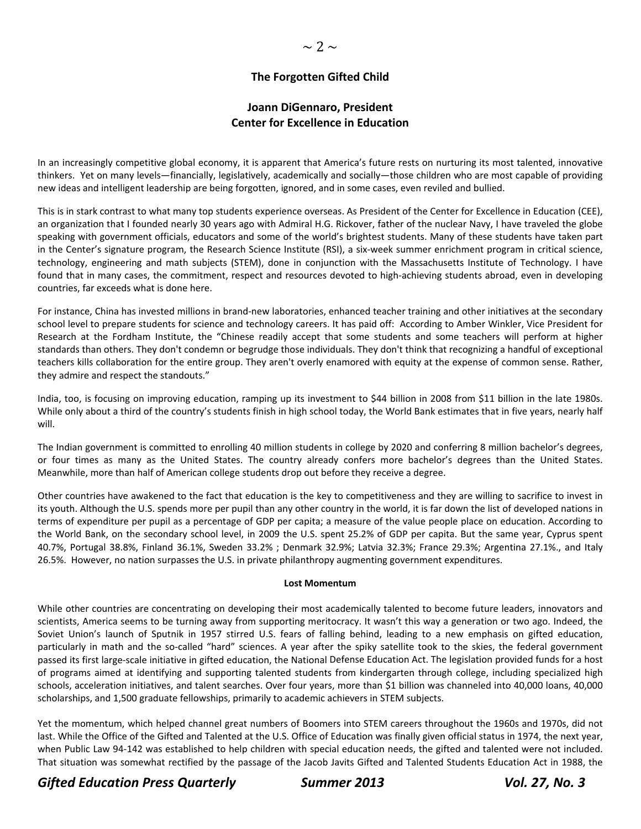### **The Forgotten Gifted Child**

### **Joann DiGennaro, President Center for Excellence in Education**

In an increasingly competitive global economy, it is apparent that America's future rests on nurturing its most talented, innovative thinkers. Yet on many levels—financially, legislatively, academically and socially—those children who are most capable of providing new ideas and intelligent leadership are being forgotten, ignored, and in some cases, even reviled and bullied.

This is in stark contrast to what many top students experience overseas. As President of the Center for Excellence in Education (CEE), an organization that I founded nearly 30 years ago with Admiral H.G. Rickover, father of the nuclear Navy, I have traveled the globe speaking with government officials, educators and some of the world's brightest students. Many of these students have taken part in the Center's signature program, the Research Science Institute (RSI), a six‐week summer enrichment program in critical science, technology, engineering and math subjects (STEM), done in conjunction with the Massachusetts Institute of Technology. I have found that in many cases, the commitment, respect and resources devoted to high-achieving students abroad, even in developing countries, far exceeds what is done here.

For instance, China has invested millions in brand‐new laboratories, enhanced teacher training and other initiatives at the secondary school level to prepare students for science and technology careers. It has paid off: According to Amber Winkler, Vice President for Research at the Fordham Institute, the "Chinese readily accept that some students and some teachers will perform at higher standards than others. They don't condemn or begrudge those individuals. They don't think that recognizing a handful of exceptional teachers kills collaboration for the entire group. They aren't overly enamored with equity at the expense of common sense. Rather, they admire and respect the standouts."

India, too, is focusing on improving education, ramping up its investment to \$44 billion in 2008 from \$11 billion in the late 1980s. While only about a third of the country's students finish in high school today, the World Bank estimates that in five years, nearly half will.

The Indian government is committed to enrolling 40 million students in college by 2020 and conferring 8 million bachelor's degrees, or four times as many as the United States. The country already confers more bachelor's degrees than the United States. Meanwhile, more than half of American college students drop out before they receive a degree.

Other countries have awakened to the fact that education is the key to competitiveness and they are willing to sacrifice to invest in its youth. Although the U.S. spends more per pupil than any other country in the world, it is far down the list of developed nations in terms of expenditure per pupil as a percentage of GDP per capita; a measure of the value people place on education. According to the World Bank, on the secondary school level, in 2009 the U.S. spent 25.2% of GDP per capita. But the same year, Cyprus spent 40.7%, Portugal 38.8%, Finland 36.1%, Sweden 33.2% ; Denmark 32.9%; Latvia 32.3%; France 29.3%; Argentina 27.1%., and Italy 26.5%. However, no nation surpasses the U.S. in private philanthropy augmenting government expenditures.

#### **Lost Momentum**

While other countries are concentrating on developing their most academically talented to become future leaders, innovators and scientists, America seems to be turning away from supporting meritocracy. It wasn't this way a generation or two ago. Indeed, the Soviet Union's launch of Sputnik in 1957 stirred U.S. fears of falling behind, leading to a new emphasis on gifted education, particularly in math and the so-called "hard" sciences. A year after the spiky satellite took to the skies, the federal government passed its first large‐scale initiative in gifted education, the National Defense Education Act. The legislation provided funds for a host of programs aimed at identifying and supporting talented students from kindergarten through college, including specialized high schools, acceleration initiatives, and talent searches. Over four years, more than \$1 billion was channeled into 40,000 loans, 40,000 scholarships, and 1,500 graduate fellowships, primarily to academic achievers in STEM subjects.

Yet the momentum, which helped channel great numbers of Boomers into STEM careers throughout the 1960s and 1970s, did not last. While the Office of the Gifted and Talented at the U.S. Office of Education was finally given official status in 1974, the next year, when Public Law 94‐142 was established to help children with special education needs, the gifted and talented were not included. That situation was somewhat rectified by the passage of the Jacob Javits Gifted and Talented Students Education Act in 1988, the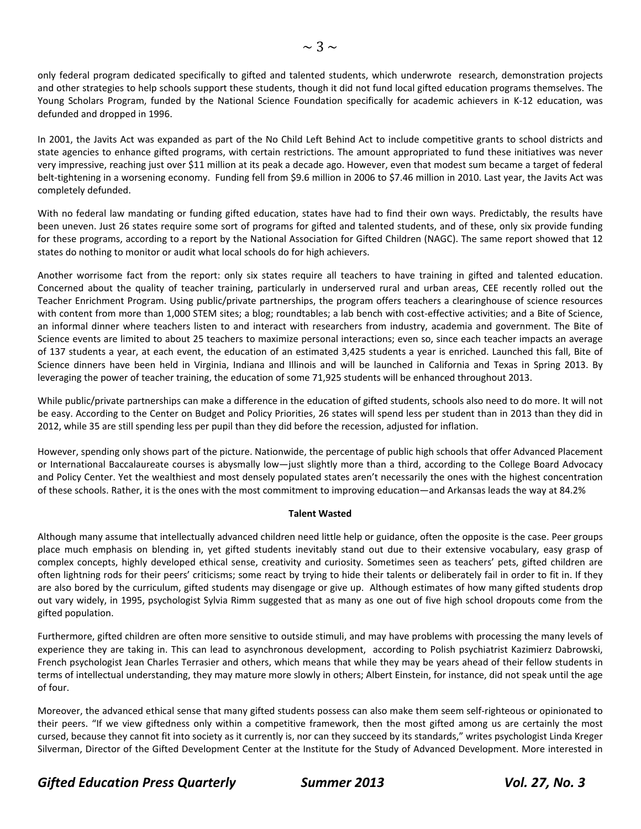only federal program dedicated specifically to gifted and talented students, which underwrote research, demonstration projects and other strategies to help schools support these students, though it did not fund local gifted education programs themselves. The Young Scholars Program, funded by the National Science Foundation specifically for academic achievers in K‐12 education, was defunded and dropped in 1996.

In 2001, the Javits Act was expanded as part of the No Child Left Behind Act to include competitive grants to school districts and state agencies to enhance gifted programs, with certain restrictions. The amount appropriated to fund these initiatives was never very impressive, reaching just over \$11 million at its peak a decade ago. However, even that modest sum became a target of federal belt‐tightening in a worsening economy. Funding fell from \$9.6 million in 2006 to \$7.46 million in 2010. Last year, the Javits Act was completely defunded.

With no federal law mandating or funding gifted education, states have had to find their own ways. Predictably, the results have been uneven. Just 26 states require some sort of programs for gifted and talented students, and of these, only six provide funding for these programs, according to a report by the National Association for Gifted Children (NAGC). The same report showed that 12 states do nothing to monitor or audit what local schools do for high achievers.

Another worrisome fact from the report: only six states require all teachers to have training in gifted and talented education. Concerned about the quality of teacher training, particularly in underserved rural and urban areas, CEE recently rolled out the Teacher Enrichment Program. Using public/private partnerships, the program offers teachers a clearinghouse of science resources with content from more than 1,000 STEM sites; a blog; roundtables; a lab bench with cost-effective activities; and a Bite of Science, an informal dinner where teachers listen to and interact with researchers from industry, academia and government. The Bite of Science events are limited to about 25 teachers to maximize personal interactions; even so, since each teacher impacts an average of 137 students a year, at each event, the education of an estimated 3,425 students a year is enriched. Launched this fall, Bite of Science dinners have been held in Virginia, Indiana and Illinois and will be launched in California and Texas in Spring 2013. By leveraging the power of teacher training, the education of some 71,925 students will be enhanced throughout 2013.

While public/private partnerships can make a difference in the education of gifted students, schools also need to do more. It will not be easy. According to the Center on Budget and Policy Priorities, 26 states will spend less per student than in 2013 than they did in 2012, while 35 are still spending less per pupil than they did before the recession, adjusted for inflation.

However, spending only shows part of the picture. Nationwide, the percentage of public high schools that offer Advanced Placement or International Baccalaureate courses is abysmally low—just slightly more than a third, according to the College Board Advocacy and Policy Center. Yet the wealthiest and most densely populated states aren't necessarily the ones with the highest concentration of these schools. Rather, it is the ones with the most commitment to improving education—and Arkansas leads the way at 84.2%

### **Talent Wasted**

Although many assume that intellectually advanced children need little help or guidance, often the opposite is the case. Peer groups place much emphasis on blending in, yet gifted students inevitably stand out due to their extensive vocabulary, easy grasp of complex concepts, highly developed ethical sense, creativity and curiosity. Sometimes seen as teachers' pets, gifted children are often lightning rods for their peers' criticisms; some react by trying to hide their talents or deliberately fail in order to fit in. If they are also bored by the curriculum, gifted students may disengage or give up. Although estimates of how many gifted students drop out vary widely, in 1995, psychologist Sylvia Rimm suggested that as many as one out of five high school dropouts come from the gifted population.

Furthermore, gifted children are often more sensitive to outside stimuli, and may have problems with processing the many levels of experience they are taking in. This can lead to asynchronous development, according to Polish psychiatrist Kazimierz Dabrowski, French psychologist Jean Charles Terrasier and others, which means that while they may be years ahead of their fellow students in terms of intellectual understanding, they may mature more slowly in others; Albert Einstein, for instance, did not speak until the age of four.

Moreover, the advanced ethical sense that many gifted students possess can also make them seem self‐righteous or opinionated to their peers. "If we view giftedness only within a competitive framework, then the most gifted among us are certainly the most cursed, because they cannot fit into society as it currently is, nor can they succeed by its standards," writes psychologist Linda Kreger Silverman, Director of the Gifted Development Center at the Institute for the Study of Advanced Development. More interested in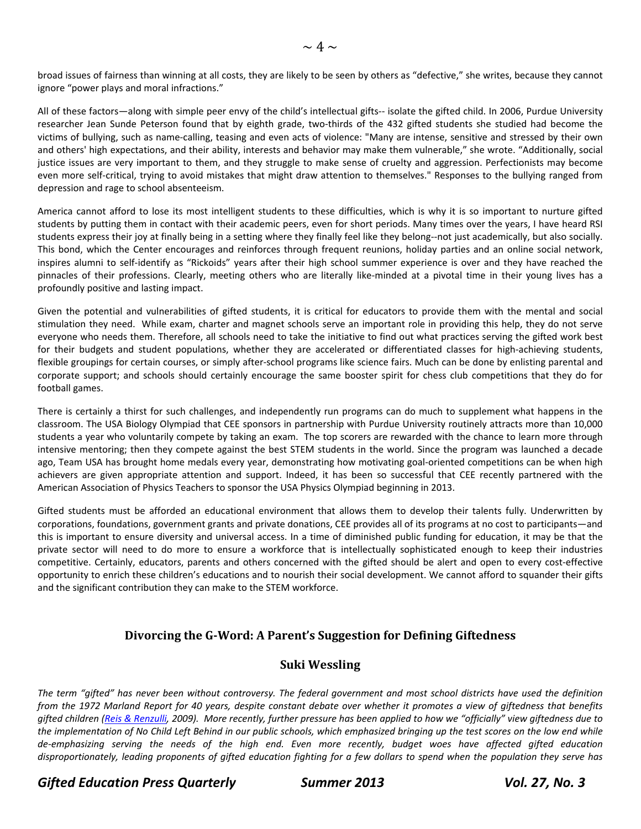All of these factors—along with simple peer envy of the child's intellectual gifts-- isolate the gifted child. In 2006, Purdue University researcher Jean Sunde Peterson found that by eighth grade, two-thirds of the 432 gifted students she studied had become the victims of bullying, such as name‐calling, teasing and even acts of violence: "Many are intense, sensitive and stressed by their own and others' high expectations, and their ability, interests and behavior may make them vulnerable," she wrote. "Additionally, social justice issues are very important to them, and they struggle to make sense of cruelty and aggression. Perfectionists may become even more self-critical, trying to avoid mistakes that might draw attention to themselves." Responses to the bullying ranged from depression and rage to school absenteeism.

America cannot afford to lose its most intelligent students to these difficulties, which is why it is so important to nurture gifted students by putting them in contact with their academic peers, even for short periods. Many times over the years, I have heard RSI students express their joy at finally being in a setting where they finally feel like they belong--not just academically, but also socially. This bond, which the Center encourages and reinforces through frequent reunions, holiday parties and an online social network, inspires alumni to self‐identify as "Rickoids" years after their high school summer experience is over and they have reached the pinnacles of their professions. Clearly, meeting others who are literally like-minded at a pivotal time in their young lives has a profoundly positive and lasting impact.

Given the potential and vulnerabilities of gifted students, it is critical for educators to provide them with the mental and social stimulation they need. While exam, charter and magnet schools serve an important role in providing this help, they do not serve everyone who needs them. Therefore, all schools need to take the initiative to find out what practices serving the gifted work best for their budgets and student populations, whether they are accelerated or differentiated classes for high-achieving students, flexible groupings for certain courses, or simply after-school programs like science fairs. Much can be done by enlisting parental and corporate support; and schools should certainly encourage the same booster spirit for chess club competitions that they do for football games.

There is certainly a thirst for such challenges, and independently run programs can do much to supplement what happens in the classroom. The USA Biology Olympiad that CEE sponsors in partnership with Purdue University routinely attracts more than 10,000 students a year who voluntarily compete by taking an exam. The top scorers are rewarded with the chance to learn more through intensive mentoring; then they compete against the best STEM students in the world. Since the program was launched a decade ago, Team USA has brought home medals every year, demonstrating how motivating goal-oriented competitions can be when high achievers are given appropriate attention and support. Indeed, it has been so successful that CEE recently partnered with the American Association of Physics Teachers to sponsor the USA Physics Olympiad beginning in 2013.

Gifted students must be afforded an educational environment that allows them to develop their talents fully. Underwritten by corporations, foundations, government grants and private donations, CEE provides all of its programs at no cost to participants—and this is important to ensure diversity and universal access. In a time of diminished public funding for education, it may be that the private sector will need to do more to ensure a workforce that is intellectually sophisticated enough to keep their industries competitive. Certainly, educators, parents and others concerned with the gifted should be alert and open to every cost-effective opportunity to enrich these children's educations and to nourish their social development. We cannot afford to squander their gifts and the significant contribution they can make to the STEM workforce.

## **Divorcing the G‐Word: A Parent's Suggestion for Defining Giftedness**

### **Suki Wessling**

The term "gifted" has never been without controversy. The federal government and most school districts have used the definition from the 1972 Marland Report for 40 years, despite constant debate over whether it promotes a view of giftedness that benefits gifted children (Reis & Renzulli, 2009). More recently, further pressure has been applied to how we "officially" view giftedness due to the implementation of No Child Left Behind in our public schools, which emphasized bringing up the test scores on the low end while de-emphasizing serving the needs of the high end. Even more recently, budget woes have affected gifted education disproportionately, leading proponents of gifted education fighting for a few dollars to spend when the population they serve has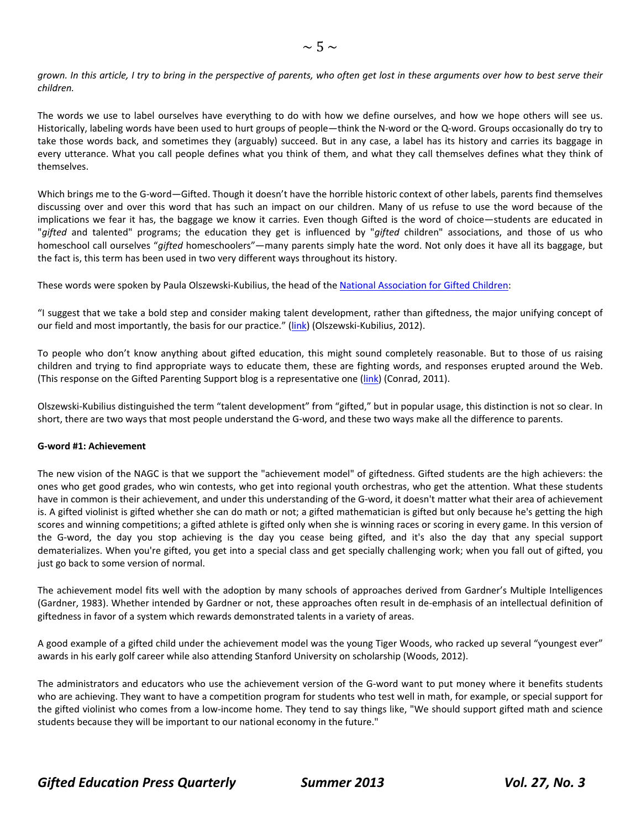grown. In this article, I try to bring in the perspective of parents, who often get lost in these arguments over how to best serve their *children.*

The words we use to label ourselves have everything to do with how we define ourselves, and how we hope others will see us. Historically, labeling words have been used to hurt groups of people—think the N‐word or the Q‐word. Groups occasionally do try to take those words back, and sometimes they (arguably) succeed. But in any case, a label has its history and carries its baggage in every utterance. What you call people defines what you think of them, and what they call themselves defines what they think of themselves.

Which brings me to the G-word—Gifted. Though it doesn't have the horrible historic context of other labels, parents find themselves discussing over and over this word that has such an impact on our children. Many of us refuse to use the word because of the implications we fear it has, the baggage we know it carries. Even though Gifted is the word of choice—students are educated in "*gifted* and talented" programs; the education they get is influenced by "*gifted* children" associations, and those of us who homeschool call ourselves "*gifted* homeschoolers"—many parents simply hate the word. Not only does it have all its baggage, but the fact is, this term has been used in two very different ways throughout its history.

These words were spoken by Paula Olszewski-Kubilius, the head of the National [Association](www.nagc.org/) for Gifted Children:

"I suggest that we take a bold step and consider making talent development, rather than giftedness, the major unifying concept of our field and most importantly, the basis for our practice." ([link\)](http://parentingforhighpotential.com/2011/11/18/from-the-nagc-president-paula-olszewski-kubilius/) (Olszewski-Kubilius, 2012).

To people who don't know anything about gifted education, this might sound completely reasonable. But to those of us raising children and trying to find appropriate ways to educate them, these are fighting words, and responses erupted around the Web. (This response on the Gifted Parenting Support blog is a representative one [\(link\)](http://giftedparentingsupport.blogspot.com/2011/11/nagcs-bold-step-and-what-it-means-for.html) (Conrad, 2011).

Olszewski‐Kubilius distinguished the term "talent development" from "gifted," but in popular usage, this distinction is not so clear. In short, there are two ways that most people understand the G-word, and these two ways make all the difference to parents.

#### **G‐word #1: Achievement**

The new vision of the NAGC is that we support the "achievement model" of giftedness. Gifted students are the high achievers: the ones who get good grades, who win contests, who get into regional youth orchestras, who get the attention. What these students have in common is their achievement, and under this understanding of the G-word, it doesn't matter what their area of achievement is. A gifted violinist is gifted whether she can do math or not; a gifted mathematician is gifted but only because he's getting the high scores and winning competitions; a gifted athlete is gifted only when she is winning races or scoring in every game. In this version of the G‐word, the day you stop achieving is the day you cease being gifted, and it's also the day that any special support dematerializes. When you're gifted, you get into a special class and get specially challenging work; when you fall out of gifted, you just go back to some version of normal.

The achievement model fits well with the adoption by many schools of approaches derived from Gardner's Multiple Intelligences (Gardner, 1983). Whether intended by Gardner or not, these approaches often result in de‐emphasis of an intellectual definition of giftedness in favor of a system which rewards demonstrated talents in a variety of areas.

A good example of a gifted child under the achievement model was the young Tiger Woods, who racked up several "youngest ever" awards in his early golf career while also attending Stanford University on scholarship (Woods, 2012).

The administrators and educators who use the achievement version of the G-word want to put money where it benefits students who are achieving. They want to have a competition program for students who test well in math, for example, or special support for the gifted violinist who comes from a low‐income home. They tend to say things like, "We should support gifted math and science students because they will be important to our national economy in the future."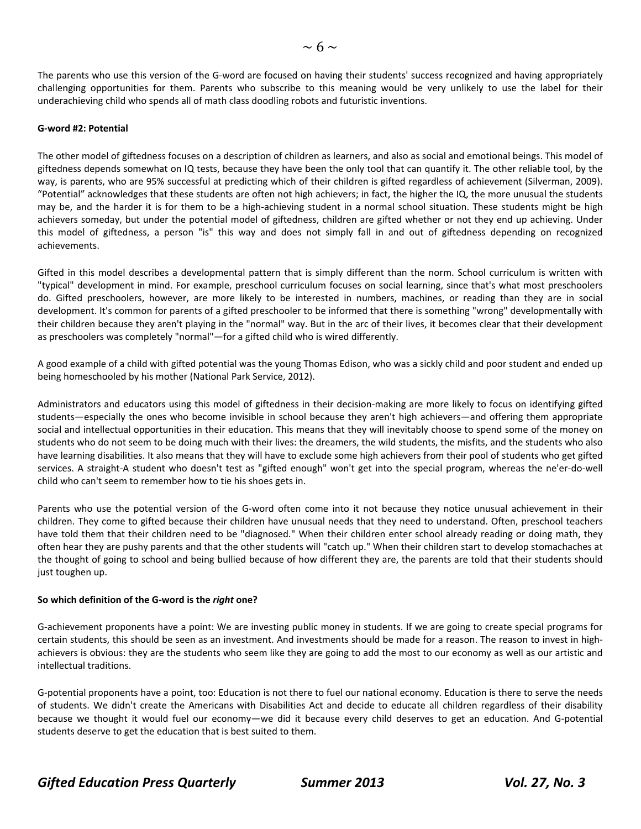The parents who use this version of the G-word are focused on having their students' success recognized and having appropriately challenging opportunities for them. Parents who subscribe to this meaning would be very unlikely to use the label for their underachieving child who spends all of math class doodling robots and futuristic inventions.

#### **G‐word #2: Potential**

The other model of giftedness focuses on a description of children as learners, and also as social and emotional beings. This model of giftedness depends somewhat on IQ tests, because they have been the only tool that can quantify it. The other reliable tool, by the way, is parents, who are 95% successful at predicting which of their children is gifted regardless of achievement (Silverman, 2009). "Potential" acknowledges that these students are often not high achievers; in fact, the higher the IQ, the more unusual the students may be, and the harder it is for them to be a high‐achieving student in a normal school situation. These students might be high achievers someday, but under the potential model of giftedness, children are gifted whether or not they end up achieving. Under this model of giftedness, a person "is" this way and does not simply fall in and out of giftedness depending on recognized achievements.

Gifted in this model describes a developmental pattern that is simply different than the norm. School curriculum is written with "typical" development in mind. For example, preschool curriculum focuses on social learning, since that's what most preschoolers do. Gifted preschoolers, however, are more likely to be interested in numbers, machines, or reading than they are in social development. It's common for parents of a gifted preschooler to be informed that there is something "wrong" developmentally with their children because they aren't playing in the "normal" way. But in the arc of their lives, it becomes clear that their development as preschoolers was completely "normal"—for a gifted child who is wired differently.

A good example of a child with gifted potential was the young Thomas Edison, who was a sickly child and poor student and ended up being homeschooled by his mother (National Park Service, 2012).

Administrators and educators using this model of giftedness in their decision‐making are more likely to focus on identifying gifted students—especially the ones who become invisible in school because they aren't high achievers—and offering them appropriate social and intellectual opportunities in their education. This means that they will inevitably choose to spend some of the money on students who do not seem to be doing much with their lives: the dreamers, the wild students, the misfits, and the students who also have learning disabilities. It also means that they will have to exclude some high achievers from their pool of students who get gifted services. A straight-A student who doesn't test as "gifted enough" won't get into the special program, whereas the ne'er-do-well child who can't seem to remember how to tie his shoes gets in.

Parents who use the potential version of the G-word often come into it not because they notice unusual achievement in their children. They come to gifted because their children have unusual needs that they need to understand. Often, preschool teachers have told them that their children need to be "diagnosed." When their children enter school already reading or doing math, they often hear they are pushy parents and that the other students will "catch up." When their children start to develop stomachaches at the thought of going to school and being bullied because of how different they are, the parents are told that their students should just toughen up.

#### **So which definition of the G‐word is the** *right* **one?**

G‐achievement proponents have a point: We are investing public money in students. If we are going to create special programs for certain students, this should be seen as an investment. And investments should be made for a reason. The reason to invest in highachievers is obvious: they are the students who seem like they are going to add the most to our economy as well as our artistic and intellectual traditions.

G‐potential proponents have a point, too: Education is not there to fuel our national economy. Education is there to serve the needs of students. We didn't create the Americans with Disabilities Act and decide to educate all children regardless of their disability because we thought it would fuel our economy—we did it because every child deserves to get an education. And G-potential students deserve to get the education that is best suited to them.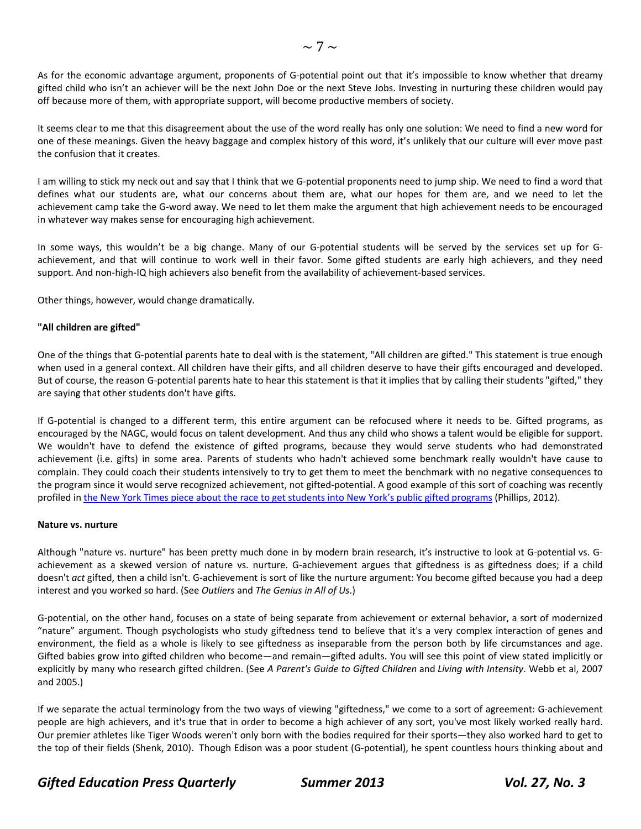As for the economic advantage argument, proponents of G-potential point out that it's impossible to know whether that dreamy gifted child who isn't an achiever will be the next John Doe or the next Steve Jobs. Investing in nurturing these children would pay off because more of them, with appropriate support, will become productive members of society.

It seems clear to me that this disagreement about the use of the word really has only one solution: We need to find a new word for one of these meanings. Given the heavy baggage and complex history of this word, it's unlikely that our culture will ever move past the confusion that it creates.

I am willing to stick my neck out and say that I think that we G‐potential proponents need to jump ship. We need to find a word that defines what our students are, what our concerns about them are, what our hopes for them are, and we need to let the achievement camp take the G‐word away. We need to let them make the argument that high achievement needs to be encouraged in whatever way makes sense for encouraging high achievement.

In some ways, this wouldn't be a big change. Many of our G-potential students will be served by the services set up for Gachievement, and that will continue to work well in their favor. Some gifted students are early high achievers, and they need support. And non-high-IQ high achievers also benefit from the availability of achievement-based services.

Other things, however, would change dramatically.

#### **"All children are gifted"**

One of the things that G‐potential parents hate to deal with is the statement, "All children are gifted." This statement is true enough when used in a general context. All children have their gifts, and all children deserve to have their gifts encouraged and developed. But of course, the reason G‐potential parents hate to hear this statement is that it implies that by calling their students "gifted," they are saying that other students don't have gifts.

If G-potential is changed to a different term, this entire argument can be refocused where it needs to be. Gifted programs, as encouraged by the NAGC, would focus on talent development. And thus any child who shows a talent would be eligible for support. We wouldn't have to defend the existence of gifted programs, because they would serve students who had demonstrated achievement (i.e. gifts) in some area. Parents of students who hadn't achieved some benchmark really wouldn't have cause to complain. They could coach their students intensively to try to get them to meet the benchmark with no negative consequences to the program since it would serve recognized achievement, not gifted-potential. A good example of this sort of coaching was recently profiled in the New York Times piece about the race to get students into New York's public gifted [programs](http://www.nytimes.com/2012/04/14/nyregion/as-ranks-of-gifted-soar-in-ny-fight-brews-for-kindergarten-slots.html?_r=3&pagewanted=all) (Phillips, 2012).

#### **Nature vs. nurture**

Although "nature vs. nurture" has been pretty much done in by modern brain research, it's instructive to look at G‐potential vs. G‐ achievement as a skewed version of nature vs. nurture. G-achievement argues that giftedness is as giftedness does; if a child doesn't *act* gifted, then a child isn't. G‐achievement is sort of like the nurture argument: You become gifted because you had a deep interest and you worked so hard. (See *Outliers* and *The Genius in All of Us*.)

G‐potential, on the other hand, focuses on a state of being separate from achievement or external behavior, a sort of modernized "nature" argument. Though psychologists who study giftedness tend to believe that it's a very complex interaction of genes and environment, the field as a whole is likely to see giftedness as inseparable from the person both by life circumstances and age. Gifted babies grow into gifted children who become—and remain—gifted adults. You will see this point of view stated implicitly or explicitly by many who research gifted children. (See *A Parent's Guide to Gifted Children* and *Living with Intensity*. Webb et al, 2007 and 2005.)

If we separate the actual terminology from the two ways of viewing "giftedness," we come to a sort of agreement: G‐achievement people are high achievers, and it's true that in order to become a high achiever of any sort, you've most likely worked really hard. Our premier athletes like Tiger Woods weren't only born with the bodies required for their sports—they also worked hard to get to the top of their fields (Shenk, 2010). Though Edison was a poor student (G‐potential), he spent countless hours thinking about and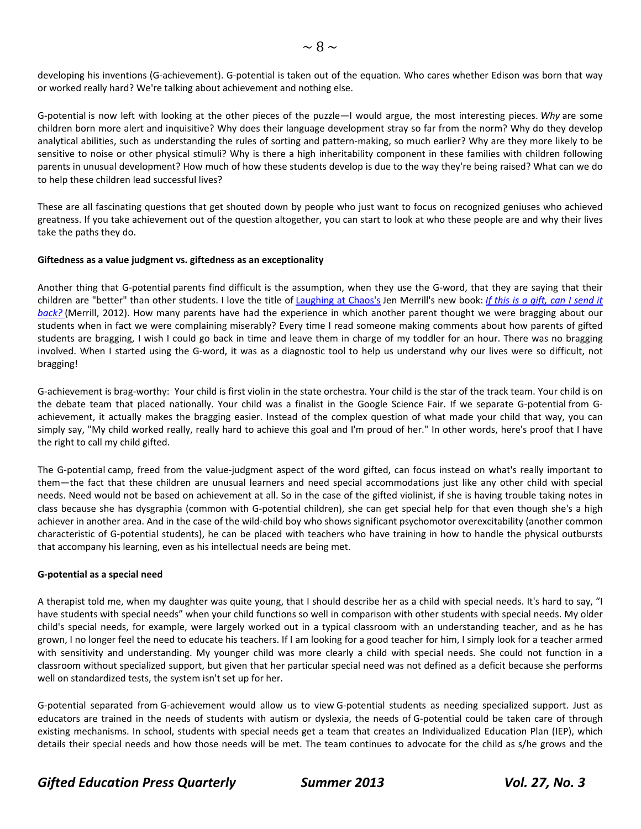developing his inventions (G‐achievement). G‐potential is taken out of the equation. Who cares whether Edison was born that way or worked really hard? We're talking about achievement and nothing else.

G‐potential is now left with looking at the other pieces of the puzzle—I would argue, the most interesting pieces. *Why* are some children born more alert and inquisitive? Why does their language development stray so far from the norm? Why do they develop analytical abilities, such as understanding the rules of sorting and pattern-making, so much earlier? Why are they more likely to be sensitive to noise or other physical stimuli? Why is there a high inheritability component in these families with children following parents in unusual development? How much of how these students develop is due to the way they're being raised? What can we do to help these children lead successful lives?

These are all fascinating questions that get shouted down by people who just want to focus on recognized geniuses who achieved greatness. If you take achievement out of the question altogether, you can start to look at who these people are and why their lives take the paths they do.

#### **Giftedness as a value judgment vs. giftedness as an exceptionality**

Another thing that G‐potential parents find difficult is the assumption, when they use the G‐word, that they are saying that their children are "better" than other students. I love the title of [Laughing](http://laughingatchaos.com/) at Chaos's Jen Merrill's new book: *If this is a gift, can I [send](http://www.amazon.com/gp/product/0615648789/ref=as_li_ss_tl?ie=UTF8&camp=1789&creative=390957&creativeASIN=0615648789&linkCode=as2&tag=avantparen-20) it [back?](http://www.amazon.com/gp/product/0615648789/ref=as_li_ss_tl?ie=UTF8&camp=1789&creative=390957&creativeASIN=0615648789&linkCode=as2&tag=avantparen-20)* (Merrill, 2012). How many parents have had the experience in which another parent thought we were bragging about our students when in fact we were complaining miserably? Every time I read someone making comments about how parents of gifted students are bragging, I wish I could go back in time and leave them in charge of my toddler for an hour. There was no bragging involved. When I started using the G‐word, it was as a diagnostic tool to help us understand why our lives were so difficult, not bragging!

G‐achievement is brag‐worthy: Your child is first violin in the state orchestra. Your child is the star of the track team. Your child is on the debate team that placed nationally. Your child was a finalist in the Google Science Fair. If we separate G-potential from Gachievement, it actually makes the bragging easier. Instead of the complex question of what made your child that way, you can simply say, "My child worked really, really hard to achieve this goal and I'm proud of her." In other words, here's proof that I have the right to call my child gifted.

The G-potential camp, freed from the value-judgment aspect of the word gifted, can focus instead on what's really important to them—the fact that these children are unusual learners and need special accommodations just like any other child with special needs. Need would not be based on achievement at all. So in the case of the gifted violinist, if she is having trouble taking notes in class because she has dysgraphia (common with G‐potential children), she can get special help for that even though she's a high achiever in another area. And in the case of the wild-child boy who shows significant psychomotor overexcitability (another common characteristic of G‐potential students), he can be placed with teachers who have training in how to handle the physical outbursts that accompany his learning, even as his intellectual needs are being met.

#### **G‐potential as a special need**

A therapist told me, when my daughter was quite young, that I should describe her as a child with special needs. It's hard to say, "I have students with special needs" when your child functions so well in comparison with other students with special needs. My older child's special needs, for example, were largely worked out in a typical classroom with an understanding teacher, and as he has grown, I no longer feel the need to educate his teachers. If I am looking for a good teacher for him, I simply look for a teacher armed with sensitivity and understanding. My younger child was more clearly a child with special needs. She could not function in a classroom without specialized support, but given that her particular special need was not defined as a deficit because she performs well on standardized tests, the system isn't set up for her.

G‐potential separated from G‐achievement would allow us to view G‐potential students as needing specialized support. Just as educators are trained in the needs of students with autism or dyslexia, the needs of G-potential could be taken care of through existing mechanisms. In school, students with special needs get a team that creates an Individualized Education Plan (IEP), which details their special needs and how those needs will be met. The team continues to advocate for the child as s/he grows and the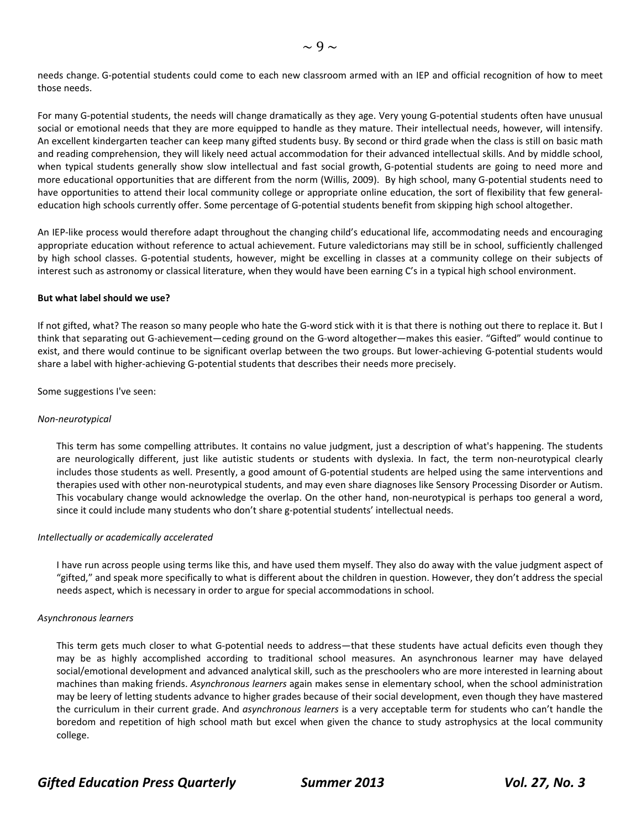needs change. G‐potential students could come to each new classroom armed with an IEP and official recognition of how to meet those needs.

For many G‐potential students, the needs will change dramatically as they age. Very young G‐potential students often have unusual social or emotional needs that they are more equipped to handle as they mature. Their intellectual needs, however, will intensify. An excellent kindergarten teacher can keep many gifted students busy. By second or third grade when the class is still on basic math and reading comprehension, they will likely need actual accommodation for their advanced intellectual skills. And by middle school, when typical students generally show slow intellectual and fast social growth, G-potential students are going to need more and more educational opportunities that are different from the norm (Willis, 2009). By high school, many G-potential students need to have opportunities to attend their local community college or appropriate online education, the sort of flexibility that few generaleducation high schools currently offer. Some percentage of G-potential students benefit from skipping high school altogether.

An IEP‐like process would therefore adapt throughout the changing child's educational life, accommodating needs and encouraging appropriate education without reference to actual achievement. Future valedictorians may still be in school, sufficiently challenged by high school classes. G‐potential students, however, might be excelling in classes at a community college on their subjects of interest such as astronomy or classical literature, when they would have been earning C's in a typical high school environment.

#### **But what label should we use?**

If not gifted, what? The reason so many people who hate the G-word stick with it is that there is nothing out there to replace it. But I think that separating out G‐achievement—ceding ground on the G‐word altogether—makes this easier. "Gifted" would continue to exist, and there would continue to be significant overlap between the two groups. But lower-achieving G-potential students would share a label with higher‐achieving G‐potential students that describes their needs more precisely.

Some suggestions I've seen:

#### *Non‐neurotypical*

This term has some compelling attributes. It contains no value judgment, just a description of what's happening. The students are neurologically different, just like autistic students or students with dyslexia. In fact, the term non-neurotypical clearly includes those students as well. Presently, a good amount of G‐potential students are helped using the same interventions and therapies used with other non‐neurotypical students, and may even share diagnoses like Sensory Processing Disorder or Autism. This vocabulary change would acknowledge the overlap. On the other hand, non-neurotypical is perhaps too general a word, since it could include many students who don't share g-potential students' intellectual needs.

#### *Intellectually or academically accelerated*

I have run across people using terms like this, and have used them myself. They also do away with the value judgment aspect of "gifted," and speak more specifically to what is different about the children in question. However, they don't address the special needs aspect, which is necessary in order to argue for special accommodations in school.

#### *Asynchronous learners*

This term gets much closer to what G‐potential needs to address—that these students have actual deficits even though they may be as highly accomplished according to traditional school measures. An asynchronous learner may have delayed social/emotional development and advanced analytical skill, such as the preschoolers who are more interested in learning about machines than making friends. *Asynchronous learners* again makes sense in elementary school, when the school administration may be leery of letting students advance to higher grades because of their social development, even though they have mastered the curriculum in their current grade. And *asynchronous learners* is a very acceptable term for students who can't handle the boredom and repetition of high school math but excel when given the chance to study astrophysics at the local community college.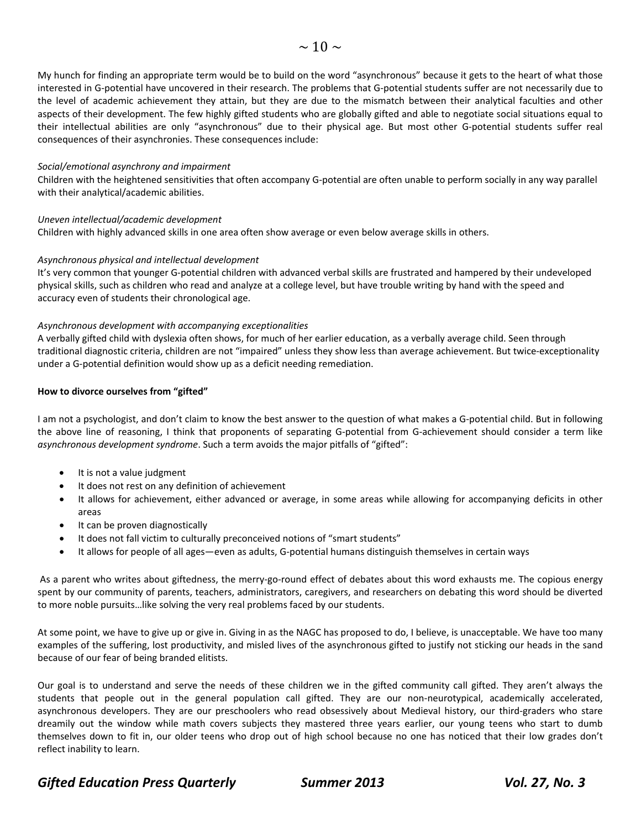My hunch for finding an appropriate term would be to build on the word "asynchronous" because it gets to the heart of what those interested in G‐potential have uncovered in their research. The problems that G‐potential students suffer are not necessarily due to the level of academic achievement they attain, but they are due to the mismatch between their analytical faculties and other aspects of their development. The few highly gifted students who are globally gifted and able to negotiate social situations equal to their intellectual abilities are only "asynchronous" due to their physical age. But most other G‐potential students suffer real consequences of their asynchronies. These consequences include:

#### *Social/emotional asynchrony and impairment*

Children with the heightened sensitivities that often accompany G‐potential are often unable to perform socially in any way parallel with their analytical/academic abilities.

#### *Uneven intellectual/academic development*

Children with highly advanced skills in one area often show average or even below average skills in others.

#### *Asynchronous physical and intellectual development*

It's very common that younger G‐potential children with advanced verbal skills are frustrated and hampered by their undeveloped physical skills, such as children who read and analyze at a college level, but have trouble writing by hand with the speed and accuracy even of students their chronological age.

#### *Asynchronous development with accompanying exceptionalities*

A verbally gifted child with dyslexia often shows, for much of her earlier education, as a verbally average child. Seen through traditional diagnostic criteria, children are not "impaired" unless they show less than average achievement. But twice‐exceptionality under a G‐potential definition would show up as a deficit needing remediation.

#### **How to divorce ourselves from "gifted"**

I am not a psychologist, and don't claim to know the best answer to the question of what makes a G‐potential child. But in following the above line of reasoning, I think that proponents of separating G-potential from G-achievement should consider a term like *asynchronous development syndrome*. Such a term avoids the major pitfalls of "gifted":

- It is not a value judgment
- It does not rest on any definition of achievement
- It allows for achievement, either advanced or average, in some areas while allowing for accompanying deficits in other areas
- It can be proven diagnostically
- It does not fall victim to culturally preconceived notions of "smart students"
- It allows for people of all ages—even as adults, G‐potential humans distinguish themselves in certain ways

As a parent who writes about giftedness, the merry-go-round effect of debates about this word exhausts me. The copious energy spent by our community of parents, teachers, administrators, caregivers, and researchers on debating this word should be diverted to more noble pursuits…like solving the very real problems faced by our students.

At some point, we have to give up or give in. Giving in as the NAGC has proposed to do, I believe, is unacceptable. We have too many examples of the suffering, lost productivity, and misled lives of the asynchronous gifted to justify not sticking our heads in the sand because of our fear of being branded elitists.

Our goal is to understand and serve the needs of these children we in the gifted community call gifted. They aren't always the students that people out in the general population call gifted. They are our non-neurotypical, academically accelerated, asynchronous developers. They are our preschoolers who read obsessively about Medieval history, our third-graders who stare dreamily out the window while math covers subjects they mastered three years earlier, our young teens who start to dumb themselves down to fit in, our older teens who drop out of high school because no one has noticed that their low grades don't reflect inability to learn.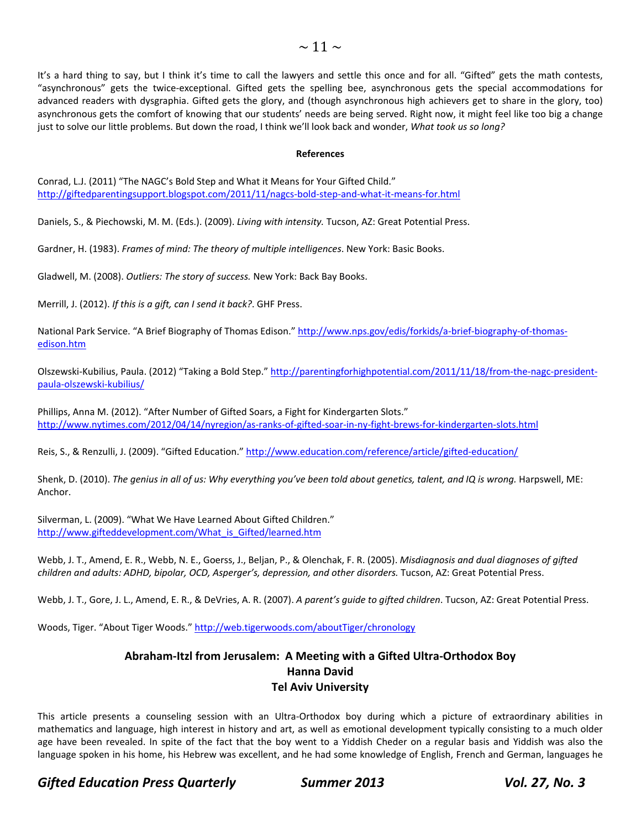It's a hard thing to say, but I think it's time to call the lawyers and settle this once and for all. "Gifted" gets the math contests, "asynchronous" gets the twice‐exceptional. Gifted gets the spelling bee, asynchronous gets the special accommodations for advanced readers with dysgraphia. Gifted gets the glory, and (though asynchronous high achievers get to share in the glory, too) asynchronous gets the comfort of knowing that our students' needs are being served. Right now, it might feel like too big a change just to solve our little problems. But down the road, I think we'll look back and wonder, *What took us so long?*

#### **References**

Conrad, L.J. (2011) "The NAGC's Bold Step and What it Means for Your Gifted Child." [http://giftedparentingsupport.blogspot.com/2011/11/nagcs](http://giftedparentingsupport.blogspot.com/2011/11/nagcs-bold-step-and-what-it-means-for.html)-bold-step-and-what-it-means-for.html

Daniels, S., & Piechowski, M. M. (Eds.). (2009). *Living with intensity.* Tucson, AZ: Great Potential Press.

Gardner, H. (1983). *Frames of mind: The theory of multiple intelligences*. New York: Basic Books.

Gladwell, M. (2008). *Outliers: The story of success.* New York: Back Bay Books.

Merrill, J. (2012). *If this is a gift, can I send it back?*. GHF Press.

National Park Service. "A Brief Biography of Thomas Edison." [http://www.nps.gov/edis/forkids/a](http://www.nps.gov/edis/forkids/a-brief-biography-of-thomas-edison.htm)‐brief‐biography‐of‐thomas‐ edison.htm

Olszewski-Kubilius, Paula. (2012) "Taking a Bold Step." [http://parentingforhighpotential.com/2011/11/18/from](http://parentingforhighpotential.com/2011/11/18/from-the-nagc-president-paula-olszewski-kubilius/)-the-nagc-presidentpaula‐olszewski‐kubilius/

Phillips, Anna M. (2012). "After Number of Gifted Soars, a Fight for Kindergarten Slots." [http://www.nytimes.com/2012/04/14/nyregion/as](http://www.nytimes.com/2012/04/14/nyregion/as-ranks-of-gifted-soar-in-ny-fight-brews-for-kindergarten-slots.html)‐ranks‐of‐gifted‐soar‐in‐ny‐fight‐brews‐for‐kindergarten‐slots.html

Reis, S., & Renzulli, J. (2009). "Gifted Education." [http://www.education.com/reference/article/gifted](http://www.education.com/reference/article/gifted-education/)-education/

Shenk, D. (2010). The genius in all of us: Why everything you've been told about genetics, talent, and IQ is wrong. Harpswell, ME: Anchor.

Silverman, L. (2009). "What We Have Learned About Gifted Children." [http://www.gifteddevelopment.com/What\\_is\\_Gifted/learned.htm](http://www.gifteddevelopment.com/What_is_Gifted/learned.htm)

Webb, J. T., Amend, E. R., Webb, N. E., Goerss, J., Beljan, P., & Olenchak, F. R. (2005). *Misdiagnosis and dual diagnoses of gifted children and adults: ADHD, bipolar, OCD, Asperger's, depression, and other disorders.* Tucson, AZ: Great Potential Press.

Webb, J. T., Gore, J. L., Amend, E. R., & DeVries, A. R. (2007). *A parent's guide to gifted children*. Tucson, AZ: Great Potential Press.

Woods, Tiger. "About Tiger Woods." <http://web.tigerwoods.com/aboutTiger/chronology>

### **Abraham‐Itzl from Jerusalem: A Meeting with a Gifted Ultra‐Orthodox Boy Hanna David Tel Aviv University**

This article presents a counseling session with an Ultra‐Orthodox boy during which a picture of extraordinary abilities in mathematics and language, high interest in history and art, as well as emotional development typically consisting to a much older age have been revealed. In spite of the fact that the boy went to a Yiddish Cheder on a regular basis and Yiddish was also the language spoken in his home, his Hebrew was excellent, and he had some knowledge of English, French and German, languages he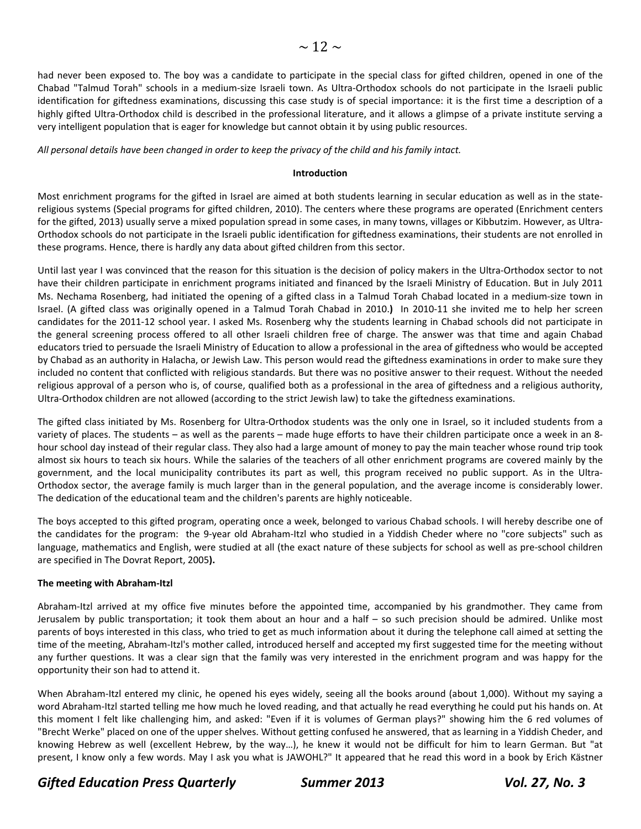had never been exposed to. The boy was a candidate to participate in the special class for gifted children, opened in one of the Chabad "Talmud Torah" schools in a medium‐size Israeli town. As Ultra‐Orthodox schools do not participate in the Israeli public identification for giftedness examinations, discussing this case study is of special importance: it is the first time a description of a highly gifted Ultra-Orthodox child is described in the professional literature, and it allows a glimpse of a private institute serving a very intelligent population that is eager for knowledge but cannot obtain it by using public resources.

All personal details have been changed in order to keep the privacy of the child and his family intact.

#### **Introduction**

Most enrichment programs for the gifted in Israel are aimed at both students learning in secular education as well as in the statereligious systems (Special programs for gifted children, 2010). The centers where these programs are operated (Enrichment centers for the gifted, 2013) usually serve a mixed population spread in some cases, in many towns, villages or Kibbutzim. However, as Ultra-Orthodox schools do not participate in the Israeli public identification for giftedness examinations, their students are not enrolled in these programs. Hence, there is hardly any data about gifted children from this sector.

Until last year I was convinced that the reason for this situation is the decision of policy makers in the Ultra‐Orthodox sector to not have their children participate in enrichment programs initiated and financed by the Israeli Ministry of Education. But in July 2011 Ms. Nechama Rosenberg, had initiated the opening of a gifted class in a Talmud Torah Chabad located in a medium‐size town in Israel. (A gifted class was originally opened in a Talmud Torah Chabad in 2010.**)**  In 2010‐11 she invited me to help her screen candidates for the 2011‐12 school year. I asked Ms. Rosenberg why the students learning in Chabad schools did not participate in the general screening process offered to all other Israeli children free of charge. The answer was that time and again Chabad educators tried to persuade the Israeli Ministry of Education to allow a professional in the area of giftedness who would be accepted by Chabad as an authority in Halacha, or Jewish Law. This person would read the giftedness examinations in order to make sure they included no content that conflicted with religious standards. But there was no positive answer to their request. Without the needed religious approval of a person who is, of course, qualified both as a professional in the area of giftedness and a religious authority, Ultra‐Orthodox children are not allowed (according to the strict Jewish law) to take the giftedness examinations.

The gifted class initiated by Ms. Rosenberg for Ultra-Orthodox students was the only one in Israel, so it included students from a variety of places. The students – as well as the parents – made huge efforts to have their children participate once a week in an 8‐ hour school day instead of their regular class. They also had a large amount of money to pay the main teacher whose round trip took almost six hours to teach six hours. While the salaries of the teachers of all other enrichment programs are covered mainly by the government, and the local municipality contributes its part as well, this program received no public support. As in the Ultra-Orthodox sector, the average family is much larger than in the general population, and the average income is considerably lower. The dedication of the educational team and the children's parents are highly noticeable.

The boys accepted to this gifted program, operating once a week, belonged to various Chabad schools. I will hereby describe one of the candidates for the program: the 9‐year old Abraham‐Itzl who studied in a Yiddish Cheder where no "core subjects" such as language, mathematics and English, were studied at all (the exact nature of these subjects for school as well as pre‐school children are specified in The Dovrat Report, 2005**).**

#### **The meeting with Abraham‐Itzl**

Abraham‐Itzl arrived at my office five minutes before the appointed time, accompanied by his grandmother. They came from Jerusalem by public transportation; it took them about an hour and a half – so such precision should be admired. Unlike most parents of boys interested in this class, who tried to get as much information about it during the telephone call aimed at setting the time of the meeting, Abraham-Itzl's mother called, introduced herself and accepted my first suggested time for the meeting without any further questions. It was a clear sign that the family was very interested in the enrichment program and was happy for the opportunity their son had to attend it.

When Abraham-Itzl entered my clinic, he opened his eyes widely, seeing all the books around (about 1,000). Without my saying a word Abraham-Itzl started telling me how much he loved reading, and that actually he read everything he could put his hands on. At this moment I felt like challenging him, and asked: "Even if it is volumes of German plays?" showing him the 6 red volumes of "Brecht Werke" placed on one of the upper shelves. Without getting confused he answered, that as learning in a Yiddish Cheder, and knowing Hebrew as well (excellent Hebrew, by the way…), he knew it would not be difficult for him to learn German. But "at present, I know only a few words. May I ask you what is JAWOHL?" It appeared that he read this word in a book by Erich Kästner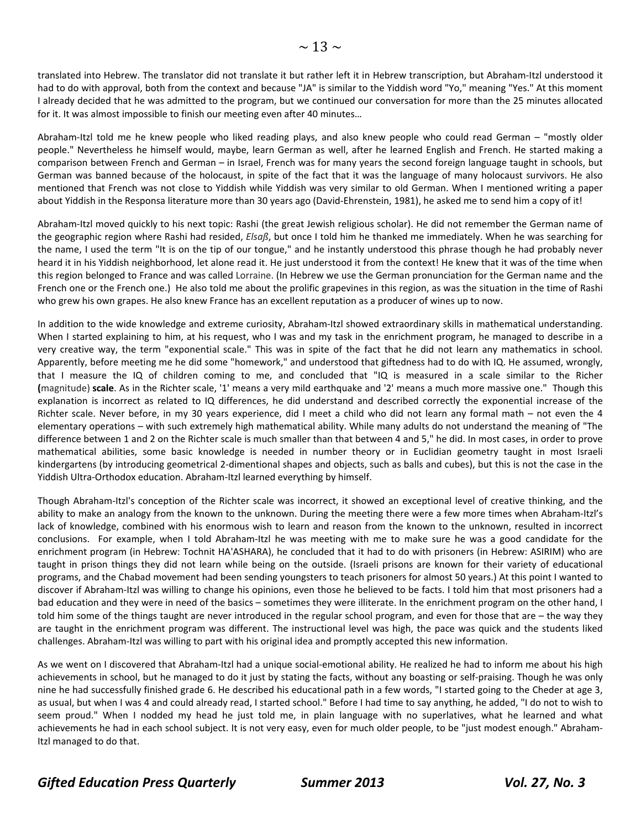translated into Hebrew. The translator did not translate it but rather left it in Hebrew transcription, but Abraham‐Itzl understood it had to do with approval, both from the context and because "JA" is similar to the Yiddish word "Yo," meaning "Yes." At this moment I already decided that he was admitted to the program, but we continued our conversation for more than the 25 minutes allocated for it. It was almost impossible to finish our meeting even after 40 minutes…

Abraham‐Itzl told me he knew people who liked reading plays, and also knew people who could read German – "mostly older people." Nevertheless he himself would, maybe, learn German as well, after he learned English and French. He started making a comparison between French and German – in Israel, French was for many years the second foreign language taught in schools, but German was banned because of the holocaust, in spite of the fact that it was the language of many holocaust survivors. He also mentioned that French was not close to Yiddish while Yiddish was very similar to old German. When I mentioned writing a paper about Yiddish in the Responsa literature more than 30 years ago (David‐Ehrenstein, 1981), he asked me to send him a copy of it!

Abraham‐Itzl moved quickly to his next topic: Rashi (the great Jewish religious scholar). He did not remember the German name of the geographic region where Rashi had resided, *Elsaß*, but once I told him he thanked me immediately. When he was searching for the name, I used the term "It is on the tip of our tongue," and he instantly understood this phrase though he had probably never heard it in his Yiddish neighborhood, let alone read it. He just understood it from the context! He knew that it was of the time when this region belonged to France and was called Lorraine. (In Hebrew we use the German pronunciation for the German name and the French one or the French one.) He also told me about the prolific grapevines in this region, as was the situation in the time of Rashi who grew his own grapes. He also knew France has an excellent reputation as a producer of wines up to now.

In addition to the wide knowledge and extreme curiosity, Abraham‐Itzl showed extraordinary skills in mathematical understanding. When I started explaining to him, at his request, who I was and my task in the enrichment program, he managed to describe in a very creative way, the term "exponential scale." This was in spite of the fact that he did not learn any mathematics in school. Apparently, before meeting me he did some "homework," and understood that giftedness had to do with IQ. He assumed, wrongly, that I measure the IQ of children coming to me, and concluded that "IQ is measured in a scale similar to the Richer **(**magnitude) **scale**. As in the Richter scale, '1' means a very mild earthquake and '2' means a much more massive one." Though this explanation is incorrect as related to IQ differences, he did understand and described correctly the exponential increase of the Richter scale. Never before, in my 30 years experience, did I meet a child who did not learn any formal math – not even the 4 elementary operations – with such extremely high mathematical ability. While many adults do not understand the meaning of "The difference between 1 and 2 on the Richter scale is much smaller than that between 4 and 5," he did. In most cases, in order to prove mathematical abilities, some basic knowledge is needed in number theory or in Euclidian geometry taught in most Israeli kindergartens (by introducing geometrical 2‐dimentional shapes and objects, such as balls and cubes), but this is not the case in the Yiddish Ultra‐Orthodox education. Abraham‐Itzl learned everything by himself.

Though Abraham‐Itzl's conception of the Richter scale was incorrect, it showed an exceptional level of creative thinking, and the ability to make an analogy from the known to the unknown. During the meeting there were a few more times when Abraham‐Itzl's lack of knowledge, combined with his enormous wish to learn and reason from the known to the unknown, resulted in incorrect conclusions. For example, when I told Abraham-Itzl he was meeting with me to make sure he was a good candidate for the enrichment program (in Hebrew: Tochnit HA'ASHARA), he concluded that it had to do with prisoners (in Hebrew: ASIRIM) who are taught in prison things they did not learn while being on the outside. (Israeli prisons are known for their variety of educational programs, and the Chabad movement had been sending youngsters to teach prisoners for almost 50 years.) At this point I wanted to discover if Abraham‐Itzl was willing to change his opinions, even those he believed to be facts. I told him that most prisoners had a bad education and they were in need of the basics – sometimes they were illiterate. In the enrichment program on the other hand, I told him some of the things taught are never introduced in the regular school program, and even for those that are – the way they are taught in the enrichment program was different. The instructional level was high, the pace was quick and the students liked challenges. Abraham‐Itzl was willing to part with his original idea and promptly accepted this new information.

As we went on I discovered that Abraham‐Itzl had a unique social‐emotional ability. He realized he had to inform me about his high achievements in school, but he managed to do it just by stating the facts, without any boasting or self‐praising. Though he was only nine he had successfully finished grade 6. He described his educational path in a few words, "I started going to the Cheder at age 3, as usual, but when I was 4 and could already read, I started school." Before I had time to say anything, he added, "I do not to wish to seem proud." When I nodded my head he just told me, in plain language with no superlatives, what he learned and what achievements he had in each school subject. It is not very easy, even for much older people, to be "just modest enough." Abraham‐ Itzl managed to do that.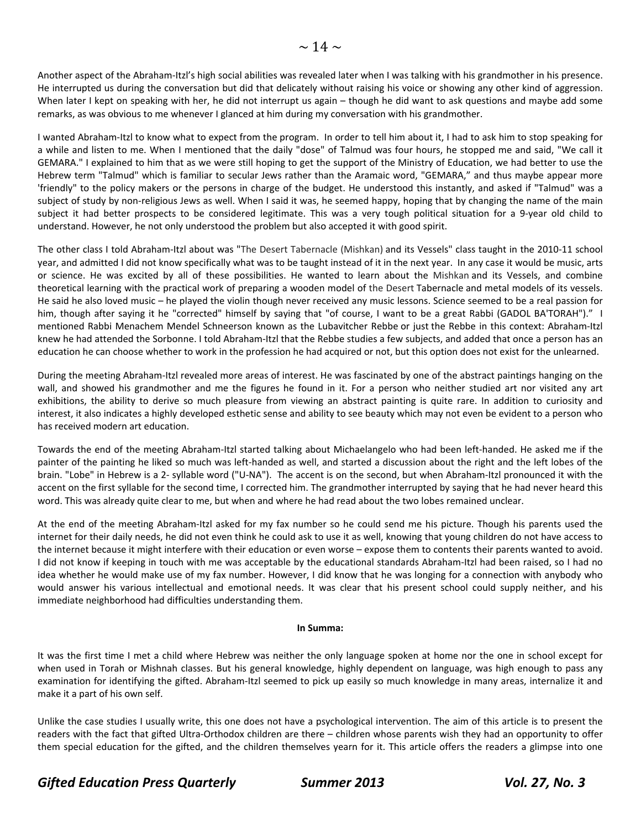Another aspect of the Abraham-Itzl's high social abilities was revealed later when I was talking with his grandmother in his presence. He interrupted us during the conversation but did that delicately without raising his voice or showing any other kind of aggression. When later I kept on speaking with her, he did not interrupt us again – though he did want to ask questions and maybe add some remarks, as was obvious to me whenever I glanced at him during my conversation with his grandmother.

I wanted Abraham‐Itzl to know what to expect from the program. In order to tell him about it, I had to ask him to stop speaking for a while and listen to me. When I mentioned that the daily "dose" of Talmud was four hours, he stopped me and said, "We call it GEMARA." I explained to him that as we were still hoping to get the support of the Ministry of Education, we had better to use the Hebrew term "Talmud" which is familiar to secular Jews rather than the Aramaic word, "GEMARA," and thus maybe appear more 'friendly" to the policy makers or the persons in charge of the budget. He understood this instantly, and asked if "Talmud" was a subject of study by non-religious Jews as well. When I said it was, he seemed happy, hoping that by changing the name of the main subject it had better prospects to be considered legitimate. This was a very tough political situation for a 9‐year old child to understand. However, he not only understood the problem but also accepted it with good spirit.

The other class I told Abraham‐Itzl about was "The Desert Tabernacle (Mishkan) and its Vessels" class taught in the 2010‐11 school year, and admitted I did not know specifically what was to be taught instead of it in the next year. In any case it would be music, arts or science. He was excited by all of these possibilities. He wanted to learn about the Mishkan and its Vessels, and combine theoretical learning with the practical work of preparing a wooden model of the Desert Tabernacle and metal models of its vessels. He said he also loved music – he played the violin though never received any music lessons. Science seemed to be a real passion for him, though after saying it he "corrected" himself by saying that "of course, I want to be a great Rabbi (GADOL BA'TORAH")." I mentioned Rabbi Menachem Mendel Schneerson known as the Lubavitcher Rebbe or just the Rebbe in this context: Abraham‐Itzl knew he had attended the Sorbonne. I told Abraham‐Itzl that the Rebbe studies a few subjects, and added that once a person has an education he can choose whether to work in the profession he had acquired or not, but this option does not exist for the unlearned.

During the meeting Abraham‐Itzl revealed more areas of interest. He was fascinated by one of the abstract paintings hanging on the wall, and showed his grandmother and me the figures he found in it. For a person who neither studied art nor visited any art exhibitions, the ability to derive so much pleasure from viewing an abstract painting is quite rare. In addition to curiosity and interest, it also indicates a highly developed esthetic sense and ability to see beauty which may not even be evident to a person who has received modern art education.

Towards the end of the meeting Abraham‐Itzl started talking about Michaelangelo who had been left‐handed. He asked me if the painter of the painting he liked so much was left‐handed as well, and started a discussion about the right and the left lobes of the brain. "Lobe" in Hebrew is a 2‐ syllable word ("U‐NA"). The accent is on the second, but when Abraham‐Itzl pronounced it with the accent on the first syllable for the second time, I corrected him. The grandmother interrupted by saying that he had never heard this word. This was already quite clear to me, but when and where he had read about the two lobes remained unclear.

At the end of the meeting Abraham‐Itzl asked for my fax number so he could send me his picture. Though his parents used the internet for their daily needs, he did not even think he could ask to use it as well, knowing that young children do not have access to the internet because it might interfere with their education or even worse – expose them to contents their parents wanted to avoid. I did not know if keeping in touch with me was acceptable by the educational standards Abraham‐Itzl had been raised, so I had no idea whether he would make use of my fax number. However, I did know that he was longing for a connection with anybody who would answer his various intellectual and emotional needs. It was clear that his present school could supply neither, and his immediate neighborhood had difficulties understanding them.

#### **In Summa:**

It was the first time I met a child where Hebrew was neither the only language spoken at home nor the one in school except for when used in Torah or Mishnah classes. But his general knowledge, highly dependent on language, was high enough to pass any examination for identifying the gifted. Abraham-Itzl seemed to pick up easily so much knowledge in many areas, internalize it and make it a part of his own self.

Unlike the case studies I usually write, this one does not have a psychological intervention. The aim of this article is to present the readers with the fact that gifted Ultra-Orthodox children are there – children whose parents wish they had an opportunity to offer them special education for the gifted, and the children themselves yearn for it. This article offers the readers a glimpse into one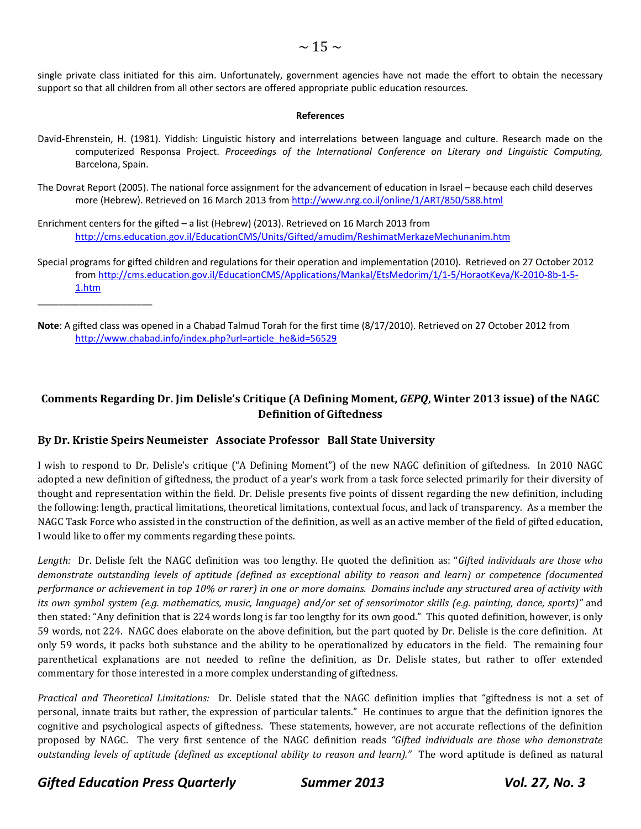single private class initiated for this aim. Unfortunately, government agencies have not made the effort to obtain the necessary support so that all children from all other sectors are offered appropriate public education resources.

#### **References**

- David‐Ehrenstein, H. (1981). Yiddish: Linguistic history and interrelations between language and culture. Research made on the computerized Responsa Project. *Proceedings of the International Conference on Literary and Linguistic Computing,* Barcelona, Spain.
- The Dovrat Report (2005). The national force assignment for the advancement of education in Israel because each child deserves more (Hebrew). Retrieved on 16 March 2013 from [http://www.nrg.co.il/online/1/ART/850/588.htm](http://www.nrg.co.il/online/1/ART/850/588.html)l
- Enrichment centers for the gifted a list (Hebrew) (2013). Retrieved on 16 March 2013 from <http://cms.education.gov.il/EducationCMS/Units/Gifted/amudim/ReshimatMerkazeMechunanim.htm>
- Special programs for gifted children and regulations for their operation and implementation (2010). Retrieved on 27 October 2012 from [http://cms.education.gov.il/EducationCMS/Applications/Mankal/EtsMedorim/1/1](http://cms.education.gov.il/EducationCMS/Applications/Mankal/EtsMedorim/1/1-5/HoraotKeva/K-2010-8b-1-5-1.htm)‐5/HoraotKeva/K‐2010‐8b‐1‐5‐ 1.htm
- **Note**: A gifted class was opened in a Chabad Talmud Torah for the first time (8/17/2010). Retrieved on 27 October 2012 from [http://www.chabad.info/index.php?url=article\\_he&id=56529](http://www.chabad.info/index.php?url=article_he&id=56529)

### **Comments Regarding Dr. Jim Delisle's Critique (A Defining Moment,** *GEPQ***, Winter 2013 issue) of the NAGC Definition of Giftedness**

### **By Dr. Kristie Speirs Neumeister Associate Professor Ball State University**

I wish to respond to Dr. Delisle's critique ("A Defining Moment") of the new NAGC definition of giftedness. In 2010 NAGC adopted a new definition of giftedness, the product of a year's work from a task force selected primarily for their diversity of thought and representation within the field. Dr. Delisle presents five points of dissent regarding the new definition, including the following: length, practical limitations, theoretical limitations, contextual focus, and lack of transparency. As a member the NAGC Task Force who assisted in the construction of the definition, as well as an active member of the field of gifted education, I would like to offer my comments regarding these points.

*Length:* Dr. Delisle felt the NAGC definition was too lengthy. He quoted the definition as: "*Gifted individuals are those who* demonstrate outstanding levels of aptitude (defined as exceptional ability to reason and learn) or competence (documented performance or achievement in top 10% or rarer) in one or more domains. Domains include any structured area of activity with its own symbol system (e.g. mathematics, music, language) and/or set of sensorimotor skills (e.g. painting, dance, sports)" and then stated: "Any definition that is 224 words long is far too lengthy for its own good." This quoted definition, however, is only 59 words, not 224. NAGC does elaborate on the above definition, but the part quoted by Dr. Delisle is the core definition. At only 59 words, it packs both substance and the ability to be operationalized by educators in the field. The remaining four parenthetical explanations are not needed to refine the definition, as Dr. Delisle states, but rather to offer extended commentary for those interested in a more complex understanding of giftedness.

*Practical* and *Theoretical Limitations:* Dr. Delisle stated that the NAGC definition implies that "giftedness is not a set of personal, innate traits but rather, the expression of particular talents." He continues to argue that the definition ignores the cognitive and psychological aspects of giftedness. These statements, however, are not accurate reflections of the definition proposed by NAGC. The very first sentence of the NAGC definition reads *"Gifted individuals are those who demonstrate outstanding levels of aptitude (defined as exceptional ability to reason and learn)."* The word aptitude is defined as natural 

*Gifted Education Press Quarterly Summer 2013 Vol. 27, No. 3*

\_\_\_\_\_\_\_\_\_\_\_\_\_\_\_\_\_\_\_\_\_\_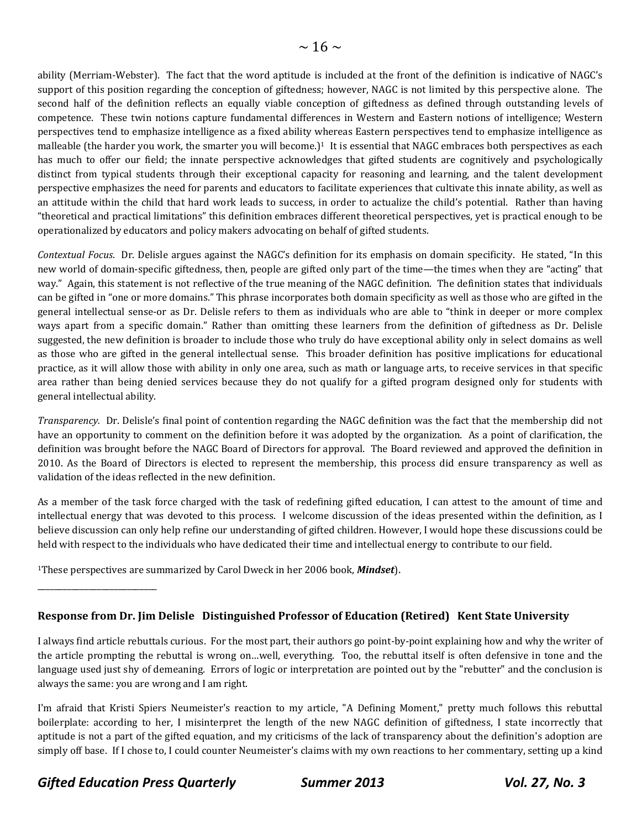ability (Merriam-Webster). The fact that the word aptitude is included at the front of the definition is indicative of NAGC's support of this position regarding the conception of giftedness; however, NAGC is not limited by this perspective alone. The second half of the definition reflects an equally viable conception of giftedness as defined through outstanding levels of competence. These twin notions capture fundamental differences in Western and Eastern notions of intelligence; Western perspectives tend to emphasize intelligence as a fixed ability whereas Eastern perspectives tend to emphasize intelligence as malleable (the harder you work, the smarter you will become.)<sup>1</sup> It is essential that NAGC embraces both perspectives as each has much to offer our field; the innate perspective acknowledges that gifted students are cognitively and psychologically distinct from typical students through their exceptional capacity for reasoning and learning, and the talent development perspective emphasizes the need for parents and educators to facilitate experiences that cultivate this innate ability, as well as an attitude within the child that hard work leads to success, in order to actualize the child's potential. Rather than having "theoretical and practical limitations" this definition embraces different theoretical perspectives, yet is practical enough to be operationalized by educators and policy makers advocating on behalf of gifted students.

*Contextual Focus*. Dr. Delisle argues against the NAGC's definition for its emphasis on domain specificity. He stated, "In this new world of domain-specific giftedness, then, people are gifted only part of the time—the times when they are "acting" that way." Again, this statement is not reflective of the true meaning of the NAGC definition. The definition states that individuals can be gifted in "one or more domains." This phrase incorporates both domain specificity as well as those who are gifted in the general intellectual sense-or as Dr. Delisle refers to them as individuals who are able to "think in deeper or more complex ways apart from a specific domain." Rather than omitting these learners from the definition of giftedness as Dr. Delisle suggested, the new definition is broader to include those who truly do have exceptional ability only in select domains as well as those who are gifted in the general intellectual sense. This broader definition has positive implications for educational practice, as it will allow those with ability in only one area, such as math or language arts, to receive services in that specific area rather than being denied services because they do not qualify for a gifted program designed only for students with general intellectual ability.

*Transparency.* Dr. Delisle's final point of contention regarding the NAGC definition was the fact that the membership did not have an opportunity to comment on the definition before it was adopted by the organization. As a point of clarification, the definition was brought before the NAGC Board of Directors for approval. The Board reviewed and approved the definition in 2010. As the Board of Directors is elected to represent the membership, this process did ensure transparency as well as validation of the ideas reflected in the new definition.

As a member of the task force charged with the task of redefining gifted education, I can attest to the amount of time and intellectual energy that was devoted to this process. I welcome discussion of the ideas presented within the definition, as I believe discussion can only help refine our understanding of gifted children. However, I would hope these discussions could be held with respect to the individuals who have dedicated their time and intellectual energy to contribute to our field.

<sup>1</sup>These perspectives are summarized by Carol Dweck in her 2006 book, *Mindset*).

### **Response from Dr. Jim Delisle Distinguished Professor of Education (Retired) Kent State University**

I always find article rebuttals curious. For the most part, their authors go point-by-point explaining how and why the writer of the article prompting the rebuttal is wrong on…well, everything. Too, the rebuttal itself is often defensive in tone and the language used just shy of demeaning. Errors of logic or interpretation are pointed out by the "rebutter" and the conclusion is always the same: you are wrong and I am right.

I'm afraid that Kristi Spiers Neumeister's reaction to my article, "A Defining Moment," pretty much follows this rebuttal boilerplate: according to her, I misinterpret the length of the new NAGC definition of giftedness, I state incorrectly that aptitude is not a part of the gifted equation, and my criticisms of the lack of transparency about the definition's adoption are simply off base. If I chose to, I could counter Neumeister's claims with my own reactions to her commentary, setting up a kind

*Gifted Education Press Quarterly Summer 2013 Vol. 27, No. 3*

\_\_\_\_\_\_\_\_\_\_\_\_\_\_\_\_\_\_\_\_\_\_\_\_\_\_\_\_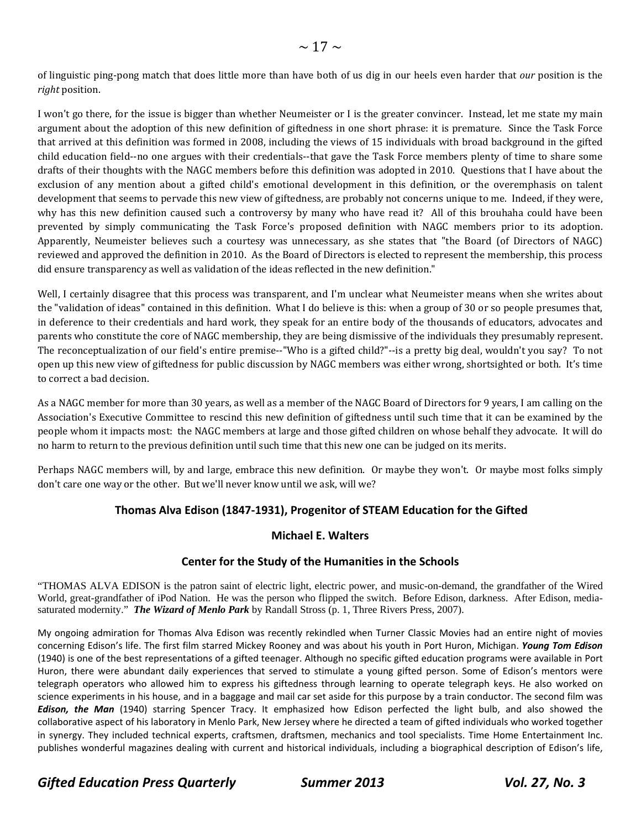of linguistic ping-pong match that does little more than have both of us dig in our heels even harder that *our* position is the *right* position.

I won't go there, for the issue is bigger than whether Neumeister or I is the greater convincer. Instead, let me state my main argument about the adoption of this new definition of giftedness in one short phrase: it is premature. Since the Task Force that arrived at this definition was formed in 2008, including the views of 15 individuals with broad background in the gifted child education field--no one argues with their credentials--that gave the Task Force members plenty of time to share some drafts of their thoughts with the NAGC members before this definition was adopted in 2010. Questions that I have about the exclusion of any mention about a gifted child's emotional development in this definition, or the overemphasis on talent development that seems to pervade this new view of giftedness, are probably not concerns unique to me. Indeed, if they were, why has this new definition caused such a controversy by many who have read it? All of this brouhaha could have been prevented by simply communicating the Task Force's proposed definition with NAGC members prior to its adoption. Apparently, Neumeister believes such a courtesy was unnecessary, as she states that "the Board (of Directors of NAGC) reviewed and approved the definition in 2010. As the Board of Directors is elected to represent the membership, this process did ensure transparency as well as validation of the ideas reflected in the new definition."

Well, I certainly disagree that this process was transparent, and I'm unclear what Neumeister means when she writes about the "validation of ideas" contained in this definition. What I do believe is this: when a group of 30 or so people presumes that, in deference to their credentials and hard work, they speak for an entire body of the thousands of educators, advocates and parents who constitute the core of NAGC membership, they are being dismissive of the individuals they presumably represent. The reconceptualization of our field's entire premise--"Who is a gifted child?"--is a pretty big deal, wouldn't you say? To not open up this new view of giftedness for public discussion by NAGC members was either wrong, shortsighted or both. It's time to correct a bad decision.

As a NAGC member for more than 30 years, as well as a member of the NAGC Board of Directors for 9 years, I am calling on the Association's Executive Committee to rescind this new definition of giftedness until such time that it can be examined by the people whom it impacts most: the NAGC members at large and those gifted children on whose behalf they advocate. It will do no harm to return to the previous definition until such time that this new one can be judged on its merits.

Perhaps NAGC members will, by and large, embrace this new definition. Or maybe they won't. Or maybe most folks simply don't care one way or the other. But we'll never know until we ask, will we?

### **Thomas Alva Edison (1847‐1931), Progenitor of STEAM Education for the Gifted**

### **Michael E. Walters**

### **Center for the Study of the Humanities in the Schools**

"THOMAS ALVA EDISON is the patron saint of electric light, electric power, and music-on-demand, the grandfather of the Wired World, great-grandfather of iPod Nation. He was the person who flipped the switch. Before Edison, darkness. After Edison, mediasaturated modernity." *The Wizard of Menlo Park* by Randall Stross (p. 1, Three Rivers Press, 2007).

My ongoing admiration for Thomas Alva Edison was recently rekindled when Turner Classic Movies had an entire night of movies concerning Edison's life. The first film starred Mickey Rooney and was about his youth in Port Huron, Michigan. *Young Tom Edison* (1940) is one of the best representations of a gifted teenager. Although no specific gifted education programs were available in Port Huron, there were abundant daily experiences that served to stimulate a young gifted person. Some of Edison's mentors were telegraph operators who allowed him to express his giftedness through learning to operate telegraph keys. He also worked on science experiments in his house, and in a baggage and mail car set aside for this purpose by a train conductor. The second film was *Edison, the Man* (1940) starring Spencer Tracy. It emphasized how Edison perfected the light bulb, and also showed the collaborative aspect of his laboratory in Menlo Park, New Jersey where he directed a team of gifted individuals who worked together in synergy. They included technical experts, craftsmen, draftsmen, mechanics and tool specialists. Time Home Entertainment Inc. publishes wonderful magazines dealing with current and historical individuals, including a biographical description of Edison's life,